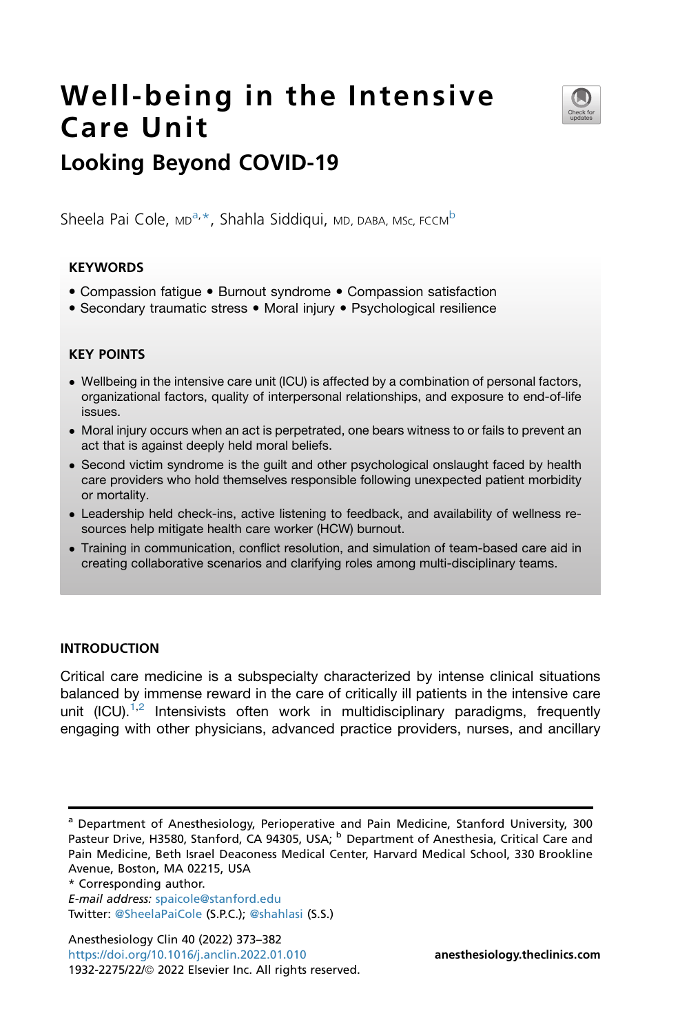# Well-being in the Intensive Care Unit



# Looking Beyond COVID-19

Sheel[a](#page-0-0) Pai Cole, <su[b](#page-0-2)>MD</sub><sup>a,\*</sup>, Shahla Siddiqui, <sub>MD</sub>, <sub>DABA</sub>, Msc, FCCM<sup>b</sup>

# **KEYWORDS**

- Compassion fatigue Burnout syndrome Compassion satisfaction
- Secondary traumatic stress Moral injury Psychological resilience

# KEY POINTS

- Wellbeing in the intensive care unit (ICU) is affected by a combination of personal factors, organizational factors, quality of interpersonal relationships, and exposure to end-of-life issues.
- Moral injury occurs when an act is perpetrated, one bears witness to or fails to prevent an act that is against deeply held moral beliefs.
- Second victim syndrome is the quilt and other psychological onslaught faced by health care providers who hold themselves responsible following unexpected patient morbidity or mortality.
- Leadership held check-ins, active listening to feedback, and availability of wellness resources help mitigate health care worker (HCW) burnout.
- Training in communication, conflict resolution, and simulation of team-based care aid in creating collaborative scenarios and clarifying roles among multi-disciplinary teams.

# INTRODUCTION

Critical care medicine is a subspecialty characterized by intense clinical situations balanced by immense reward in the care of critically ill patients in the intensive care unit  $(ICU).<sup>1,2</sup>$  $(ICU).<sup>1,2</sup>$  $(ICU).<sup>1,2</sup>$  $(ICU).<sup>1,2</sup>$  $(ICU).<sup>1,2</sup>$  Intensivists often work in multidisciplinary paradigms, frequently engaging with other physicians, advanced practice providers, nurses, and ancillary

<span id="page-0-1"></span>\* Corresponding author.

<span id="page-0-2"></span><span id="page-0-0"></span><sup>&</sup>lt;sup>a</sup> Department of Anesthesiology, Perioperative and Pain Medicine, Stanford University, 300 Pasteur Drive, H3580, Stanford, CA 94305, USA; <sup>b</sup> Department of Anesthesia, Critical Care and Pain Medicine, Beth Israel Deaconess Medical Center, Harvard Medical School, 330 Brookline Avenue, Boston, MA 02215, USA

E-mail address: [spaicole@stanford.edu](mailto:spaicole@stanford.edu) Twitter: [@SheelaPaiCole](https://twitter.com/@SheelaPaiCole) (S.P.C.); [@shahlasi](https://twitter.com/@shahlasi) (S.S.)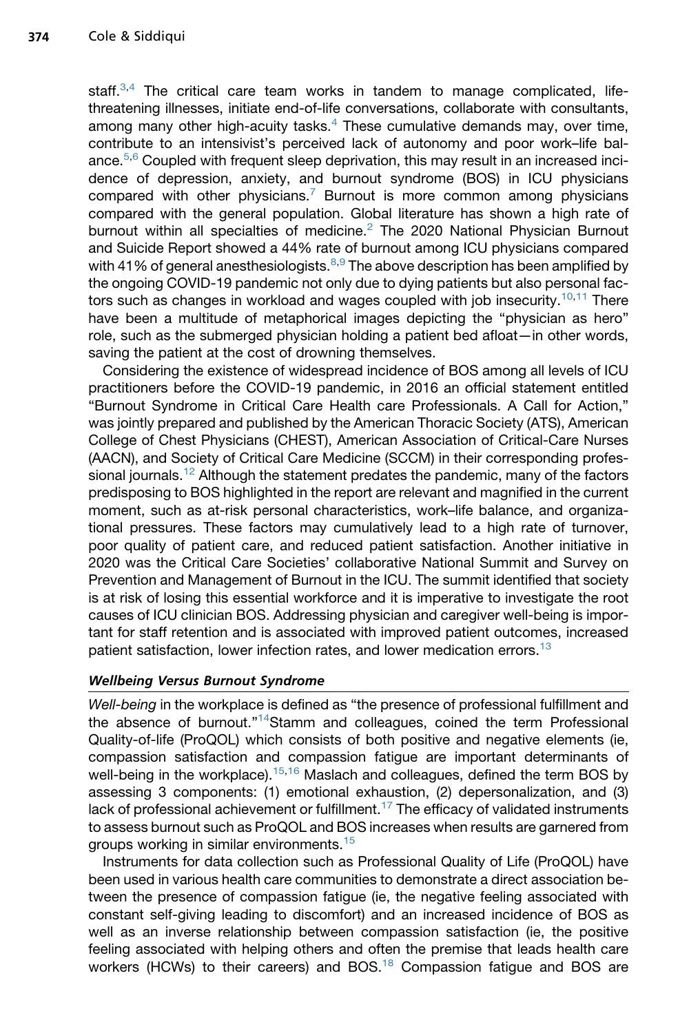staff. $3,4$  $3,4$  $3,4$  The critical care team works in tandem to manage complicated, lifethreatening illnesses, initiate end-of-life conversations, collaborate with consultants, among many other high-acuity tasks.[4](#page-7-3) These cumulative demands may, over time, contribute to an intensivist's perceived lack of autonomy and poor work–life balance. $5,6$  $5,6$  Coupled with frequent sleep deprivation, this may result in an increased incidence of depression, anxiety, and burnout syndrome (BOS) in ICU physicians compared with other physicians.<sup>[7](#page-7-6)</sup> Burnout is more common among physicians compared with the general population. Global literature has shown a high rate of burnout within all specialties of medicine.<sup>[2](#page-7-1)</sup> The 2020 National Physician Burnout and Suicide Report showed a 44% rate of burnout among ICU physicians compared with 41% of general anesthesiologists. $8,9$  $8,9$  $8,9$  The above description has been amplified by the ongoing COVID-19 pandemic not only due to dying patients but also personal fac-tors such as changes in workload and wages coupled with job insecurity.<sup>[10](#page-7-9)[,11](#page-7-10)</sup> There have been a multitude of metaphorical images depicting the "physician as hero" role, such as the submerged physician holding a patient bed afloat—in other words, saving the patient at the cost of drowning themselves.

Considering the existence of widespread incidence of BOS among all levels of ICU practitioners before the COVID-19 pandemic, in 2016 an official statement entitled "Burnout Syndrome in Critical Care Health care Professionals. A Call for Action," was jointly prepared and published by the American Thoracic Society (ATS), American College of Chest Physicians (CHEST), American Association of Critical-Care Nurses (AACN), and Society of Critical Care Medicine (SCCM) in their corresponding profes-sional journals.<sup>[12](#page-7-11)</sup> Although the statement predates the pandemic, many of the factors predisposing to BOS highlighted in the report are relevant and magnified in the current moment, such as at-risk personal characteristics, work–life balance, and organizational pressures. These factors may cumulatively lead to a high rate of turnover, poor quality of patient care, and reduced patient satisfaction. Another initiative in 2020 was the Critical Care Societies' collaborative National Summit and Survey on Prevention and Management of Burnout in the ICU. The summit identified that society is at risk of losing this essential workforce and it is imperative to investigate the root causes of ICU clinician BOS. Addressing physician and caregiver well-being is important for staff retention and is associated with improved patient outcomes, increased patient satisfaction, lower infection rates, and lower medication errors.<sup>[13](#page-7-12)</sup>

# Wellbeing Versus Burnout Syndrome

*Well-being* in the workplace is defined as "the presence of professional fulfillment and the absence of burnout."<sup>[14](#page-7-13)</sup>Stamm and colleagues, coined the term Professional Quality-of-life (ProQOL) which consists of both positive and negative elements (ie, compassion satisfaction and compassion fatigue are important determinants of well-being in the workplace).<sup>[15](#page-7-14)[,16](#page-7-15)</sup> Maslach and colleagues, defined the term BOS by assessing 3 components: (1) emotional exhaustion, (2) depersonalization, and (3) lack of professional achievement or fulfillment.<sup>[17](#page-7-16)</sup> The efficacy of validated instruments to assess burnout such as ProQOL and BOS increases when results are garnered from groups working in similar environments.<sup>[15](#page-7-14)</sup>

Instruments for data collection such as Professional Quality of Life (ProQOL) have been used in various health care communities to demonstrate a direct association between the presence of compassion fatigue (ie, the negative feeling associated with constant self-giving leading to discomfort) and an increased incidence of BOS as well as an inverse relationship between compassion satisfaction (ie, the positive feeling associated with helping others and often the premise that leads health care workers (HCWs) to their careers) and BOS.<sup>18</sup> Compassion fatigue and BOS are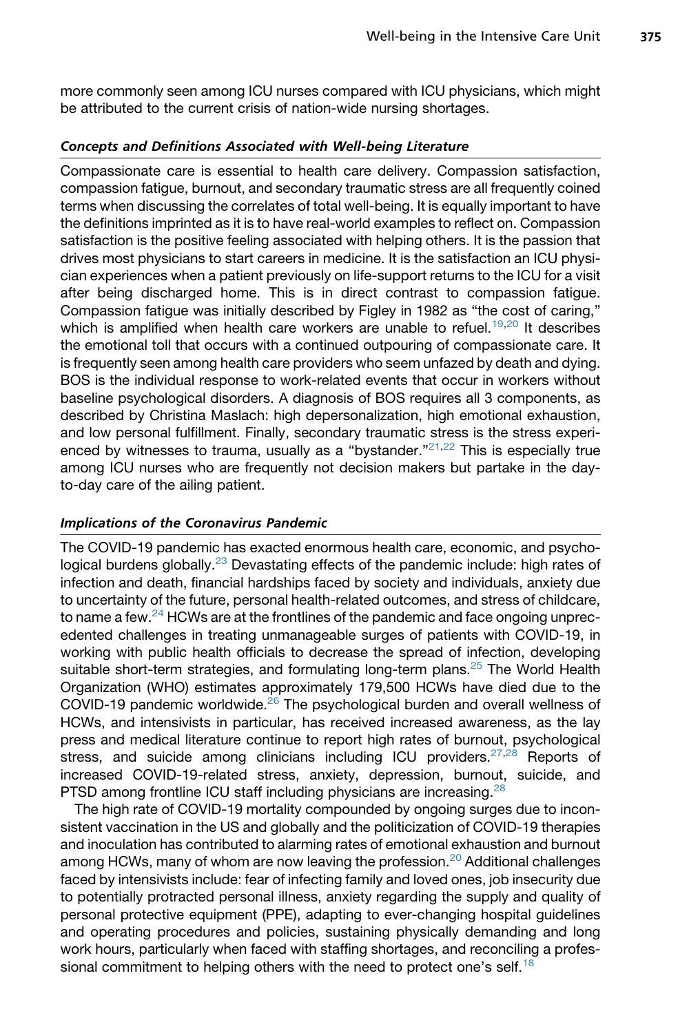more commonly seen among ICU nurses compared with ICU physicians, which might be attributed to the current crisis of nation-wide nursing shortages.

#### Concepts and Definitions Associated with Well-being Literature

Compassionate care is essential to health care delivery. Compassion satisfaction, compassion fatigue, burnout, and secondary traumatic stress are all frequently coined terms when discussing the correlates of total well-being. It is equally important to have the definitions imprinted as it is to have real-world examples to reflect on. Compassion satisfaction is the positive feeling associated with helping others. It is the passion that drives most physicians to start careers in medicine. It is the satisfaction an ICU physician experiences when a patient previously on life-support returns to the ICU for a visit after being discharged home. This is in direct contrast to compassion fatigue. Compassion fatigue was initially described by Figley in 1982 as "the cost of caring," which is amplified when health care workers are unable to refuel.<sup>[19,](#page-8-1)[20](#page-8-2)</sup> It describes the emotional toll that occurs with a continued outpouring of compassionate care. It is frequently seen among health care providers who seem unfazed by death and dying. BOS is the individual response to work-related events that occur in workers without baseline psychological disorders. A diagnosis of BOS requires all 3 components, as described by Christina Maslach: high depersonalization, high emotional exhaustion, and low personal fulfillment. Finally, secondary traumatic stress is the stress experi-enced by witnesses to trauma, usually as a "bystander."<sup>[21](#page-8-3)[,22](#page-8-4)</sup> This is especially true among ICU nurses who are frequently not decision makers but partake in the dayto-day care of the ailing patient.

# Implications of the Coronavirus Pandemic

The COVID-19 pandemic has exacted enormous health care, economic, and psycho-logical burdens globally.<sup>[23](#page-8-5)</sup> Devastating effects of the pandemic include: high rates of infection and death, financial hardships faced by society and individuals, anxiety due to uncertainty of the future, personal health-related outcomes, and stress of childcare, to name a few.<sup>[24](#page-8-6)</sup> HCWs are at the frontlines of the pandemic and face ongoing unprecedented challenges in treating unmanageable surges of patients with COVID-19, in working with public health officials to decrease the spread of infection, developing suitable short-term strategies, and formulating long-term plans. $25$  The World Health Organization (WHO) estimates approximately 179,500 HCWs have died due to the COVID-19 pandemic worldwide.<sup>[26](#page-8-8)</sup> The psychological burden and overall wellness of HCWs, and intensivists in particular, has received increased awareness, as the lay press and medical literature continue to report high rates of burnout, psychological stress, and suicide among clinicians including ICU providers. $27,28$  $27,28$  Reports of increased COVID-19-related stress, anxiety, depression, burnout, suicide, and PTSD among frontline ICU staff including physicians are increasing.<sup>[28](#page-8-10)</sup>

The high rate of COVID-19 mortality compounded by ongoing surges due to inconsistent vaccination in the US and globally and the politicization of COVID-19 therapies and inoculation has contributed to alarming rates of emotional exhaustion and burnout among HCWs, many of whom are now leaving the profession.<sup>[20](#page-8-2)</sup> Additional challenges faced by intensivists include: fear of infecting family and loved ones, job insecurity due to potentially protracted personal illness, anxiety regarding the supply and quality of personal protective equipment (PPE), adapting to ever-changing hospital guidelines and operating procedures and policies, sustaining physically demanding and long work hours, particularly when faced with staffing shortages, and reconciling a profes-sional commitment to helping others with the need to protect one's self.<sup>[18](#page-8-0)</sup>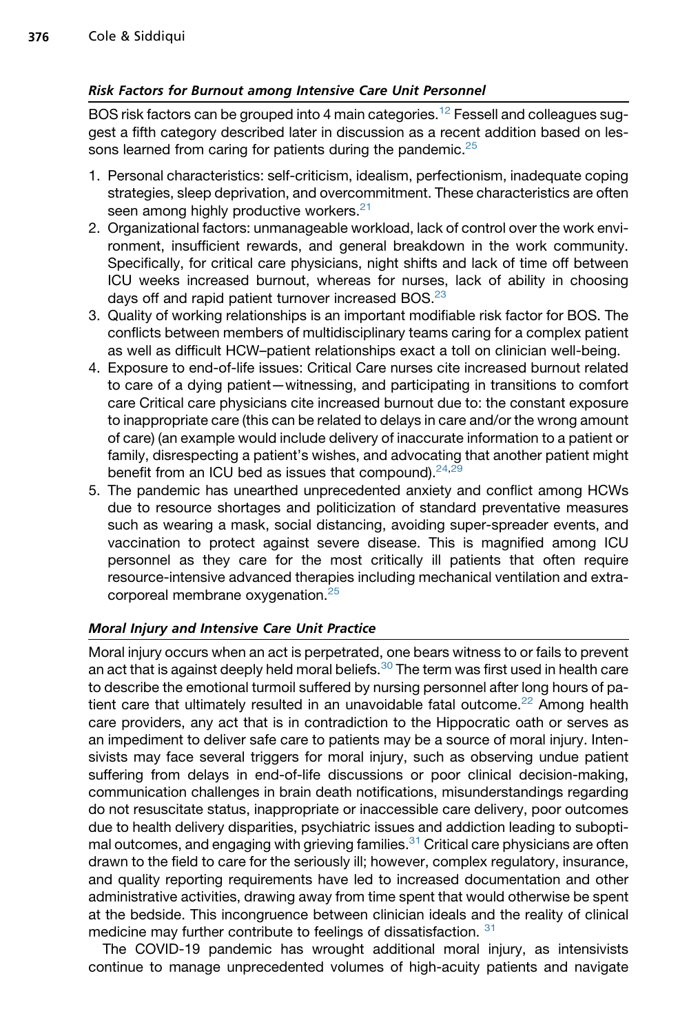# Risk Factors for Burnout among Intensive Care Unit Personnel

BOS risk factors can be grouped into 4 main categories.<sup>[12](#page-7-11)</sup> Fessell and colleagues suggest a fifth category described later in discussion as a recent addition based on les-sons learned from caring for patients during the pandemic.<sup>[25](#page-8-7)</sup>

- 1. Personal characteristics: self-criticism, idealism, perfectionism, inadequate coping strategies, sleep deprivation, and overcommitment. These characteristics are often seen among highly productive workers.<sup>[21](#page-8-3)</sup>
- 2. Organizational factors: unmanageable workload, lack of control over the work environment, insufficient rewards, and general breakdown in the work community. Specifically, for critical care physicians, night shifts and lack of time off between ICU weeks increased burnout, whereas for nurses, lack of ability in choosing days off and rapid patient turnover increased BOS.<sup>[23](#page-8-5)</sup>
- 3. Quality of working relationships is an important modifiable risk factor for BOS. The conflicts between members of multidisciplinary teams caring for a complex patient as well as difficult HCW–patient relationships exact a toll on clinician well-being.
- 4. Exposure to end-of-life issues: Critical Care nurses cite increased burnout related to care of a dying patient—witnessing, and participating in transitions to comfort care Critical care physicians cite increased burnout due to: the constant exposure to inappropriate care (this can be related to delays in care and/or the wrong amount of care) (an example would include delivery of inaccurate information to a patient or family, disrespecting a patient's wishes, and advocating that another patient might benefit from an ICU bed as issues that compound).  $24,29$  $24,29$
- 5. The pandemic has unearthed unprecedented anxiety and conflict among HCWs due to resource shortages and politicization of standard preventative measures such as wearing a mask, social distancing, avoiding super-spreader events, and vaccination to protect against severe disease. This is magnified among ICU personnel as they care for the most critically ill patients that often require resource-intensive advanced therapies including mechanical ventilation and extra-corporeal membrane oxygenation.<sup>[25](#page-8-7)</sup>

# Moral Injury and Intensive Care Unit Practice

Moral injury occurs when an act is perpetrated, one bears witness to or fails to prevent an act that is against deeply held moral beliefs. $30$  The term was first used in health care to describe the emotional turmoil suffered by nursing personnel after long hours of pa-tient care that ultimately resulted in an unavoidable fatal outcome.<sup>[22](#page-8-4)</sup> Among health care providers, any act that is in contradiction to the Hippocratic oath or serves as an impediment to deliver safe care to patients may be a source of moral injury. Intensivists may face several triggers for moral injury, such as observing undue patient suffering from delays in end-of-life discussions or poor clinical decision-making, communication challenges in brain death notifications, misunderstandings regarding do not resuscitate status, inappropriate or inaccessible care delivery, poor outcomes due to health delivery disparities, psychiatric issues and addiction leading to suboptimal outcomes, and engaging with grieving families. $31$  Critical care physicians are often drawn to the field to care for the seriously ill; however, complex regulatory, insurance, and quality reporting requirements have led to increased documentation and other administrative activities, drawing away from time spent that would otherwise be spent at the bedside. This incongruence between clinician ideals and the reality of clinical medicine may further contribute to feelings of dissatisfaction. [31](#page-8-13)

The COVID-19 pandemic has wrought additional moral injury, as intensivists continue to manage unprecedented volumes of high-acuity patients and navigate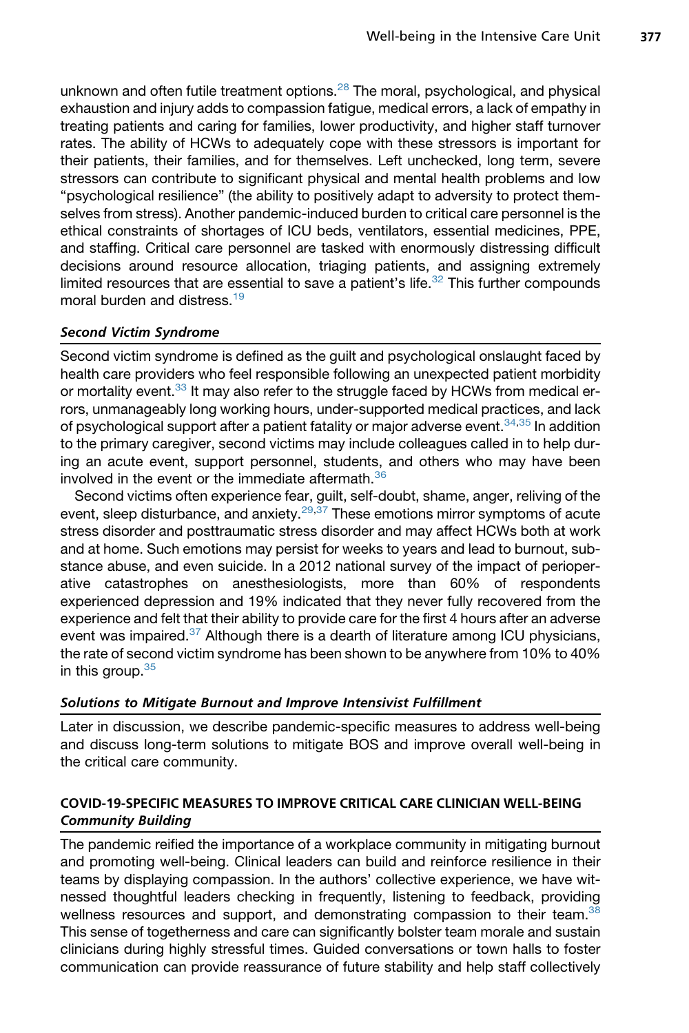unknown and often futile treatment options. $28$  The moral, psychological, and physical exhaustion and injury adds to compassion fatigue, medical errors, a lack of empathy in treating patients and caring for families, lower productivity, and higher staff turnover rates. The ability of HCWs to adequately cope with these stressors is important for their patients, their families, and for themselves. Left unchecked, long term, severe stressors can contribute to significant physical and mental health problems and low "psychological resilience" (the ability to positively adapt to adversity to protect themselves from stress). Another pandemic-induced burden to critical care personnel is the ethical constraints of shortages of ICU beds, ventilators, essential medicines, PPE, and staffing. Critical care personnel are tasked with enormously distressing difficult decisions around resource allocation, triaging patients, and assigning extremely limited resources that are essential to save a patient's life.  $32$  This further compounds moral burden and distress.<sup>[19](#page-8-1)</sup>

# Second Victim Syndrome

Second victim syndrome is defined as the guilt and psychological onslaught faced by health care providers who feel responsible following an unexpected patient morbidity or mortality event.<sup>[33](#page-8-15)</sup> It may also refer to the struggle faced by HCWs from medical errors, unmanageably long working hours, under-supported medical practices, and lack of psychological support after a patient fatality or major adverse event.  $34,35$  $34,35$  In addition to the primary caregiver, second victims may include colleagues called in to help during an acute event, support personnel, students, and others who may have been involved in the event or the immediate aftermath.<sup>[36](#page-8-18)</sup>

Second victims often experience fear, guilt, self-doubt, shame, anger, reliving of the event, sleep disturbance, and anxiety.<sup>[29](#page-8-11)[,37](#page-8-19)</sup> These emotions mirror symptoms of acute stress disorder and posttraumatic stress disorder and may affect HCWs both at work and at home. Such emotions may persist for weeks to years and lead to burnout, substance abuse, and even suicide. In a 2012 national survey of the impact of perioperative catastrophes on anesthesiologists, more than 60% of respondents experienced depression and 19% indicated that they never fully recovered from the experience and felt that their ability to provide care for the first 4 hours after an adverse event was impaired. $37$  Although there is a dearth of literature among ICU physicians, the rate of second victim syndrome has been shown to be anywhere from 10% to 40% in this group.<sup>35</sup>

#### Solutions to Mitigate Burnout and Improve Intensivist Fulfillment

Later in discussion, we describe pandemic-specific measures to address well-being and discuss long-term solutions to mitigate BOS and improve overall well-being in the critical care community.

# COVID-19-SPECIFIC MEASURES TO IMPROVE CRITICAL CARE CLINICIAN WELL-BEING Community Building

The pandemic reified the importance of a workplace community in mitigating burnout and promoting well-being. Clinical leaders can build and reinforce resilience in their teams by displaying compassion. In the authors' collective experience, we have witnessed thoughtful leaders checking in frequently, listening to feedback, providing wellness resources and support, and demonstrating compassion to their team.<sup>[38](#page-8-20)</sup> This sense of togetherness and care can significantly bolster team morale and sustain clinicians during highly stressful times. Guided conversations or town halls to foster communication can provide reassurance of future stability and help staff collectively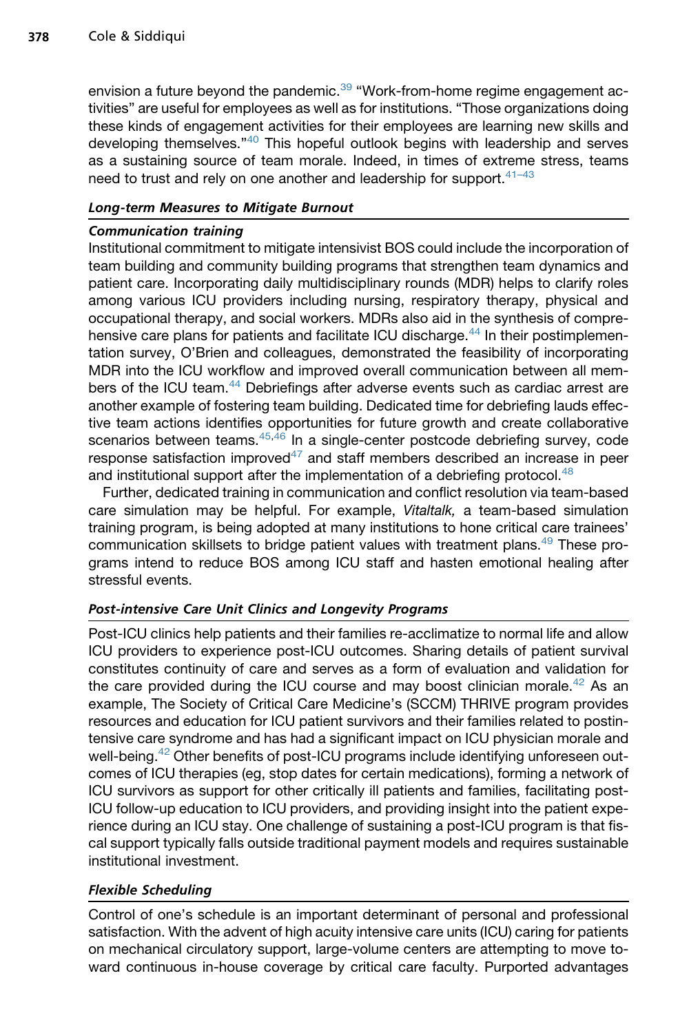envision a future beyond the pandemic. $39$  "Work-from-home regime engagement activities" are useful for employees as well as for institutions. "Those organizations doing these kinds of engagement activities for their employees are learning new skills and developing themselves."<sup>[40](#page-9-1)</sup> This hopeful outlook begins with leadership and serves as a sustaining source of team morale. Indeed, in times of extreme stress, teams need to trust and rely on one another and leadership for support.<sup>[41–43](#page-9-2)</sup>

# Long-term Measures to Mitigate Burnout

# Communication training

Institutional commitment to mitigate intensivist BOS could include the incorporation of team building and community building programs that strengthen team dynamics and patient care. Incorporating daily multidisciplinary rounds (MDR) helps to clarify roles among various ICU providers including nursing, respiratory therapy, physical and occupational therapy, and social workers. MDRs also aid in the synthesis of compre-hensive care plans for patients and facilitate ICU discharge.<sup>[44](#page-9-3)</sup> In their postimplementation survey, O'Brien and colleagues, demonstrated the feasibility of incorporating MDR into the ICU workflow and improved overall communication between all mem-bers of the ICU team.<sup>[44](#page-9-3)</sup> Debriefings after adverse events such as cardiac arrest are another example of fostering team building. Dedicated time for debriefing lauds effective team actions identifies opportunities for future growth and create collaborative scenarios between teams.<sup>[45,](#page-9-4)[46](#page-9-5)</sup> In a single-center postcode debriefing survey, code response satisfaction improved<sup>[47](#page-9-6)</sup> and staff members described an increase in peer and institutional support after the implementation of a debriefing protocol.<sup>[48](#page-9-7)</sup>

Further, dedicated training in communication and conflict resolution via team-based care simulation may be helpful. For example, *Vitaltalk,* a team-based simulation training program, is being adopted at many institutions to hone critical care trainees' communication skillsets to bridge patient values with treatment plans.<sup>[49](#page-9-8)</sup> These programs intend to reduce BOS among ICU staff and hasten emotional healing after stressful events.

# Post-intensive Care Unit Clinics and Longevity Programs

Post-ICU clinics help patients and their families re-acclimatize to normal life and allow ICU providers to experience post-ICU outcomes. Sharing details of patient survival constitutes continuity of care and serves as a form of evaluation and validation for the care provided during the ICU course and may boost clinician morale.<sup>[42](#page-9-9)</sup> As an example, The Society of Critical Care Medicine's (SCCM) THRIVE program provides resources and education for ICU patient survivors and their families related to postintensive care syndrome and has had a significant impact on ICU physician morale and well-being.<sup>[42](#page-9-9)</sup> Other benefits of post-ICU programs include identifying unforeseen outcomes of ICU therapies (eg, stop dates for certain medications), forming a network of ICU survivors as support for other critically ill patients and families, facilitating post-ICU follow-up education to ICU providers, and providing insight into the patient experience during an ICU stay. One challenge of sustaining a post-ICU program is that fiscal support typically falls outside traditional payment models and requires sustainable institutional investment.

# Flexible Scheduling

Control of one's schedule is an important determinant of personal and professional satisfaction. With the advent of high acuity intensive care units (ICU) caring for patients on mechanical circulatory support, large-volume centers are attempting to move toward continuous in-house coverage by critical care faculty. Purported advantages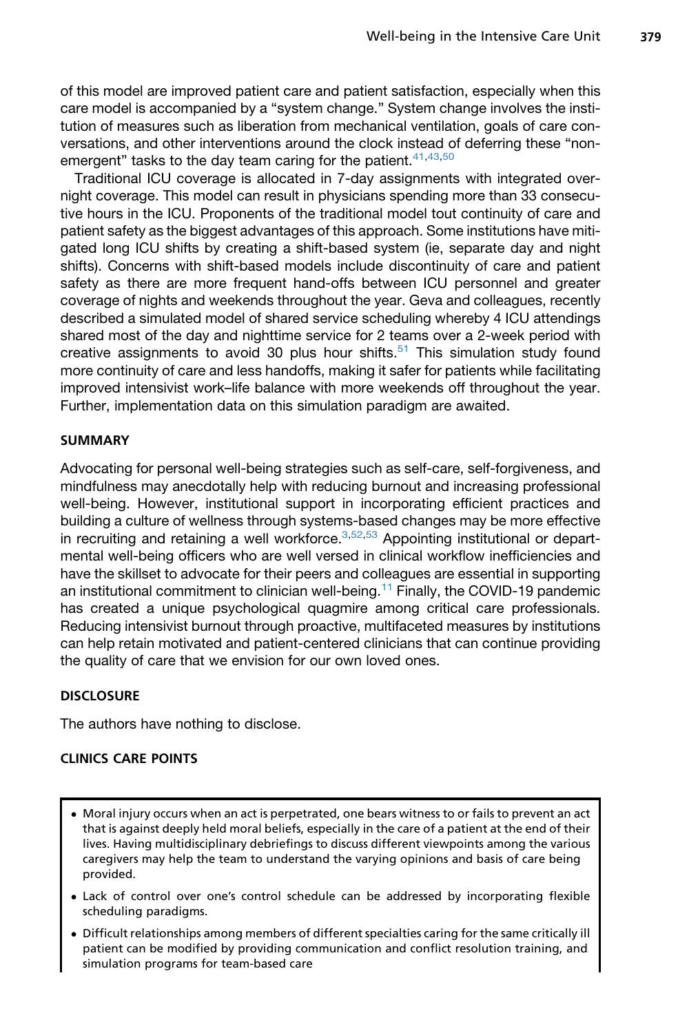of this model are improved patient care and patient satisfaction, especially when this care model is accompanied by a "system change." System change involves the institution of measures such as liberation from mechanical ventilation, goals of care conversations, and other interventions around the clock instead of deferring these "nonemergent" tasks to the day team caring for the patient. $41,43,50$  $41,43,50$  $41,43,50$ 

Traditional ICU coverage is allocated in 7-day assignments with integrated overnight coverage. This model can result in physicians spending more than 33 consecutive hours in the ICU. Proponents of the traditional model tout continuity of care and patient safety as the biggest advantages of this approach. Some institutions have mitigated long ICU shifts by creating a shift-based system (ie, separate day and night shifts). Concerns with shift-based models include discontinuity of care and patient safety as there are more frequent hand-offs between ICU personnel and greater coverage of nights and weekends throughout the year. Geva and colleagues, recently described a simulated model of shared service scheduling whereby 4 ICU attendings shared most of the day and nighttime service for 2 teams over a 2-week period with creative assignments to avoid 30 plus hour shifts. $51$  This simulation study found more continuity of care and less handoffs, making it safer for patients while facilitating improved intensivist work–life balance with more weekends off throughout the year. Further, implementation data on this simulation paradigm are awaited.

#### SUMMARY

Advocating for personal well-being strategies such as self-care, self-forgiveness, and mindfulness may anecdotally help with reducing burnout and increasing professional well-being. However, institutional support in incorporating efficient practices and building a culture of wellness through systems-based changes may be more effective in recruiting and retaining a well workforce.<sup>[3](#page-7-2)[,52,](#page-9-13)[53](#page-9-14)</sup> Appointing institutional or departmental well-being officers who are well versed in clinical workflow inefficiencies and have the skillset to advocate for their peers and colleagues are essential in supporting an institutional commitment to clinician well-being.[11](#page-7-10) Finally, the COVID-19 pandemic has created a unique psychological quagmire among critical care professionals. Reducing intensivist burnout through proactive, multifaceted measures by institutions can help retain motivated and patient-centered clinicians that can continue providing the quality of care that we envision for our own loved ones.

#### **DISCLOSURE**

The authors have nothing to disclose.

#### CLINICS CARE POINTS

- Moral injury occurs when an act is perpetrated, one bears witness to or fails to prevent an act that is against deeply held moral beliefs, especially in the care of a patient at the end of their lives. Having multidisciplinary debriefings to discuss different viewpoints among the various caregivers may help the team to understand the varying opinions and basis of care being provided.
- Lack of control over one's control schedule can be addressed by incorporating flexible scheduling paradigms.
- Difficult relationships among members of different specialties caring for the same critically ill patient can be modified by providing communication and conflict resolution training, and simulation programs for team-based care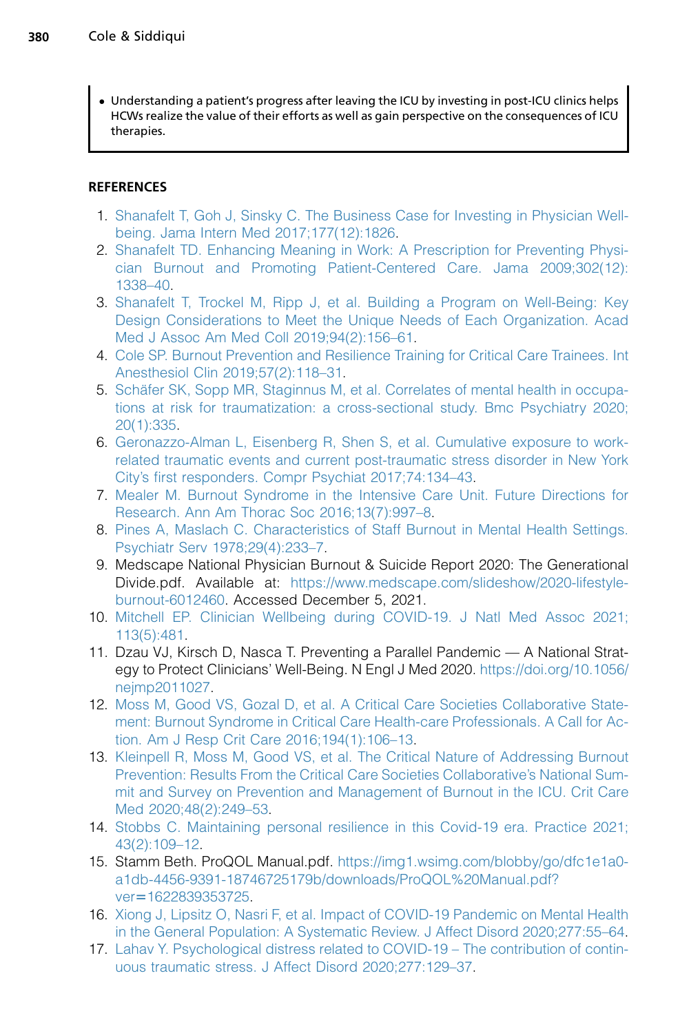Understanding a patient's progress after leaving the ICU by investing in post-ICU clinics helps HCWs realize the value of their efforts as well as gain perspective on the consequences of ICU therapies.

# **REFERENCES**

- <span id="page-7-0"></span>1. [Shanafelt T, Goh J, Sinsky C. The Business Case for Investing in Physician Well](http://refhub.elsevier.com/S1932-2275(22)00010-6/sref1)[being. Jama Intern Med 2017;177\(12\):1826.](http://refhub.elsevier.com/S1932-2275(22)00010-6/sref1)
- <span id="page-7-1"></span>2. [Shanafelt TD. Enhancing Meaning in Work: A Prescription for Preventing Physi](http://refhub.elsevier.com/S1932-2275(22)00010-6/sref2)[cian Burnout and Promoting Patient-Centered Care. Jama 2009;302\(12\):](http://refhub.elsevier.com/S1932-2275(22)00010-6/sref2) [1338–40.](http://refhub.elsevier.com/S1932-2275(22)00010-6/sref2)
- <span id="page-7-2"></span>3. [Shanafelt T, Trockel M, Ripp J, et al. Building a Program on Well-Being: Key](http://refhub.elsevier.com/S1932-2275(22)00010-6/sref3) [Design Considerations to Meet the Unique Needs of Each Organization. Acad](http://refhub.elsevier.com/S1932-2275(22)00010-6/sref3) [Med J Assoc Am Med Coll 2019;94\(2\):156–61](http://refhub.elsevier.com/S1932-2275(22)00010-6/sref3).
- <span id="page-7-3"></span>4. [Cole SP. Burnout Prevention and Resilience Training for Critical Care Trainees. Int](http://refhub.elsevier.com/S1932-2275(22)00010-6/sref4) [Anesthesiol Clin 2019;57\(2\):118–31.](http://refhub.elsevier.com/S1932-2275(22)00010-6/sref4)
- <span id="page-7-4"></span>5. Schäfer SK, Sopp MR, Staginnus M, et al. Correlates of mental health in occupa[tions at risk for traumatization: a cross-sectional study. Bmc Psychiatry 2020;](http://refhub.elsevier.com/S1932-2275(22)00010-6/sref5) [20\(1\):335.](http://refhub.elsevier.com/S1932-2275(22)00010-6/sref5)
- <span id="page-7-5"></span>6. [Geronazzo-Alman L, Eisenberg R, Shen S, et al. Cumulative exposure to work](http://refhub.elsevier.com/S1932-2275(22)00010-6/sref6)[related traumatic events and current post-traumatic stress disorder in New York](http://refhub.elsevier.com/S1932-2275(22)00010-6/sref6) [City's first responders. Compr Psychiat 2017;74:134–43](http://refhub.elsevier.com/S1932-2275(22)00010-6/sref6).
- <span id="page-7-6"></span>7. [Mealer M. Burnout Syndrome in the Intensive Care Unit. Future Directions for](http://refhub.elsevier.com/S1932-2275(22)00010-6/sref7) [Research. Ann Am Thorac Soc 2016;13\(7\):997–8](http://refhub.elsevier.com/S1932-2275(22)00010-6/sref7).
- <span id="page-7-7"></span>8. [Pines A, Maslach C. Characteristics of Staff Burnout in Mental Health Settings.](http://refhub.elsevier.com/S1932-2275(22)00010-6/sref8) [Psychiatr Serv 1978;29\(4\):233–7](http://refhub.elsevier.com/S1932-2275(22)00010-6/sref8).
- <span id="page-7-8"></span>9. Medscape National Physician Burnout & Suicide Report 2020: The Generational Divide.pdf. Available at: [https://www.medscape.com/slideshow/2020-lifestyle](https://www.medscape.com/slideshow/2020-lifestyle-burnout-6012460)[burnout-6012460.](https://www.medscape.com/slideshow/2020-lifestyle-burnout-6012460) Accessed December 5, 2021.
- <span id="page-7-9"></span>10. [Mitchell EP. Clinician Wellbeing during COVID-19. J Natl Med Assoc 2021;](http://refhub.elsevier.com/S1932-2275(22)00010-6/sref10) [113\(5\):481](http://refhub.elsevier.com/S1932-2275(22)00010-6/sref10).
- <span id="page-7-10"></span>11. Dzau VJ, Kirsch D, Nasca T. Preventing a Parallel Pandemic — A National Strategy to Protect Clinicians' Well-Being. N Engl J Med 2020. [https://doi.org/10.1056/](https://doi.org/10.1056/nejmp2011027) [nejmp2011027.](https://doi.org/10.1056/nejmp2011027)
- <span id="page-7-11"></span>12. [Moss M, Good VS, Gozal D, et al. A Critical Care Societies Collaborative State](http://refhub.elsevier.com/S1932-2275(22)00010-6/sref12)[ment: Burnout Syndrome in Critical Care Health-care Professionals. A Call for Ac](http://refhub.elsevier.com/S1932-2275(22)00010-6/sref12)[tion. Am J Resp Crit Care 2016;194\(1\):106–13](http://refhub.elsevier.com/S1932-2275(22)00010-6/sref12).
- <span id="page-7-12"></span>13. [Kleinpell R, Moss M, Good VS, et al. The Critical Nature of Addressing Burnout](http://refhub.elsevier.com/S1932-2275(22)00010-6/sref13) [Prevention: Results From the Critical Care Societies Collaborative's National Sum](http://refhub.elsevier.com/S1932-2275(22)00010-6/sref13)[mit and Survey on Prevention and Management of Burnout in the ICU. Crit Care](http://refhub.elsevier.com/S1932-2275(22)00010-6/sref13) [Med 2020;48\(2\):249–53](http://refhub.elsevier.com/S1932-2275(22)00010-6/sref13).
- <span id="page-7-13"></span>14. [Stobbs C. Maintaining personal resilience in this Covid-19 era. Practice 2021;](http://refhub.elsevier.com/S1932-2275(22)00010-6/sref14) [43\(2\):109–12.](http://refhub.elsevier.com/S1932-2275(22)00010-6/sref14)
- <span id="page-7-14"></span>15. Stamm Beth. ProQOL Manual.pdf. [https://img1.wsimg.com/blobby/go/dfc1e1a0](https://img1.wsimg.com/blobby/go/dfc1e1a0-a1db-4456-9391-18746725179b/downloads/ProQOL%20Manual.pdf?ver=1622839353725) [a1db-4456-9391-18746725179b/downloads/ProQOL%20Manual.pdf?](https://img1.wsimg.com/blobby/go/dfc1e1a0-a1db-4456-9391-18746725179b/downloads/ProQOL%20Manual.pdf?ver=1622839353725) ver=[1622839353725](https://img1.wsimg.com/blobby/go/dfc1e1a0-a1db-4456-9391-18746725179b/downloads/ProQOL%20Manual.pdf?ver=1622839353725).
- <span id="page-7-15"></span>16. [Xiong J, Lipsitz O, Nasri F, et al. Impact of COVID-19 Pandemic on Mental Health](http://refhub.elsevier.com/S1932-2275(22)00010-6/sref16) [in the General Population: A Systematic Review. J Affect Disord 2020;277:55–64.](http://refhub.elsevier.com/S1932-2275(22)00010-6/sref16)
- <span id="page-7-16"></span>17. [Lahav Y. Psychological distress related to COVID-19 – The contribution of contin](http://refhub.elsevier.com/S1932-2275(22)00010-6/sref17)[uous traumatic stress. J Affect Disord 2020;277:129–37](http://refhub.elsevier.com/S1932-2275(22)00010-6/sref17).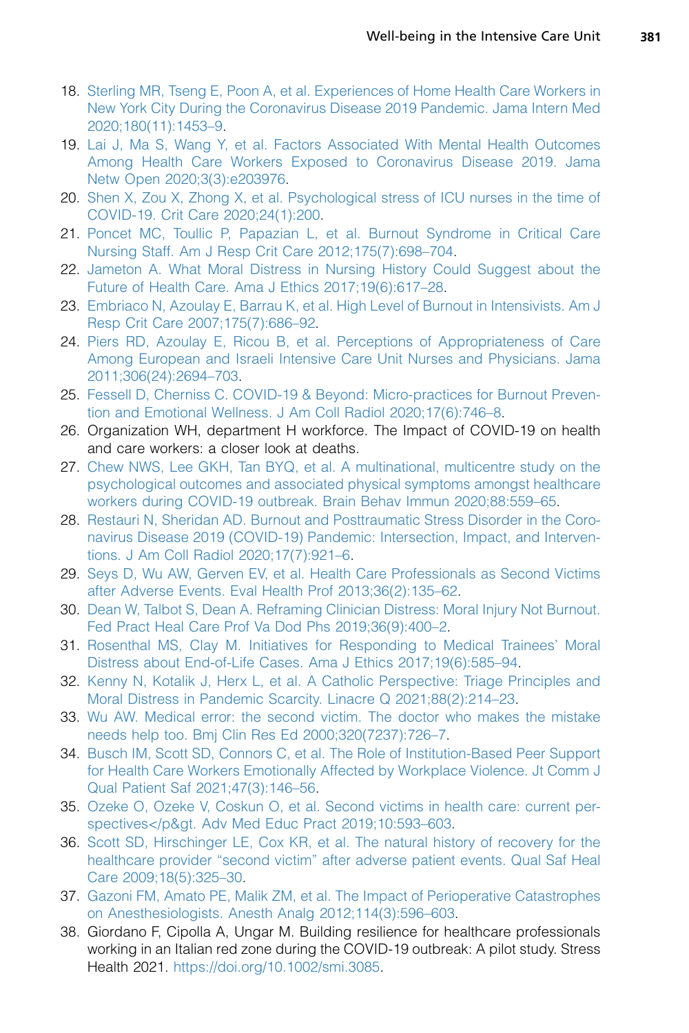- <span id="page-8-0"></span>18. [Sterling MR, Tseng E, Poon A, et al. Experiences of Home Health Care Workers in](http://refhub.elsevier.com/S1932-2275(22)00010-6/sref18) [New York City During the Coronavirus Disease 2019 Pandemic. Jama Intern Med](http://refhub.elsevier.com/S1932-2275(22)00010-6/sref18) [2020;180\(11\):1453–9.](http://refhub.elsevier.com/S1932-2275(22)00010-6/sref18)
- <span id="page-8-1"></span>19. [Lai J, Ma S, Wang Y, et al. Factors Associated With Mental Health Outcomes](http://refhub.elsevier.com/S1932-2275(22)00010-6/sref19) [Among Health Care Workers Exposed to Coronavirus Disease 2019. Jama](http://refhub.elsevier.com/S1932-2275(22)00010-6/sref19) [Netw Open 2020;3\(3\):e203976.](http://refhub.elsevier.com/S1932-2275(22)00010-6/sref19)
- <span id="page-8-2"></span>20. [Shen X, Zou X, Zhong X, et al. Psychological stress of ICU nurses in the time of](http://refhub.elsevier.com/S1932-2275(22)00010-6/sref20) [COVID-19. Crit Care 2020;24\(1\):200.](http://refhub.elsevier.com/S1932-2275(22)00010-6/sref20)
- <span id="page-8-3"></span>21. [Poncet MC, Toullic P, Papazian L, et al. Burnout Syndrome in Critical Care](http://refhub.elsevier.com/S1932-2275(22)00010-6/sref21) [Nursing Staff. Am J Resp Crit Care 2012;175\(7\):698–704](http://refhub.elsevier.com/S1932-2275(22)00010-6/sref21).
- <span id="page-8-4"></span>22. [Jameton A. What Moral Distress in Nursing History Could Suggest about the](http://refhub.elsevier.com/S1932-2275(22)00010-6/sref22) [Future of Health Care. Ama J Ethics 2017;19\(6\):617–28](http://refhub.elsevier.com/S1932-2275(22)00010-6/sref22).
- <span id="page-8-5"></span>23. [Embriaco N, Azoulay E, Barrau K, et al. High Level of Burnout in Intensivists. Am J](http://refhub.elsevier.com/S1932-2275(22)00010-6/sref23) [Resp Crit Care 2007;175\(7\):686–92.](http://refhub.elsevier.com/S1932-2275(22)00010-6/sref23)
- <span id="page-8-6"></span>24. [Piers RD, Azoulay E, Ricou B, et al. Perceptions of Appropriateness of Care](http://refhub.elsevier.com/S1932-2275(22)00010-6/sref24) [Among European and Israeli Intensive Care Unit Nurses and Physicians. Jama](http://refhub.elsevier.com/S1932-2275(22)00010-6/sref24) [2011;306\(24\):2694–703](http://refhub.elsevier.com/S1932-2275(22)00010-6/sref24).
- <span id="page-8-7"></span>25. [Fessell D, Cherniss C. COVID-19 & Beyond: Micro-practices for Burnout Preven](http://refhub.elsevier.com/S1932-2275(22)00010-6/sref25)[tion and Emotional Wellness. J Am Coll Radiol 2020;17\(6\):746–8](http://refhub.elsevier.com/S1932-2275(22)00010-6/sref25).
- <span id="page-8-8"></span>26. Organization WH, department H workforce. The Impact of COVID-19 on health and care workers: a closer look at deaths.
- <span id="page-8-9"></span>27. [Chew NWS, Lee GKH, Tan BYQ, et al. A multinational, multicentre study on the](http://refhub.elsevier.com/S1932-2275(22)00010-6/sref27) [psychological outcomes and associated physical symptoms amongst healthcare](http://refhub.elsevier.com/S1932-2275(22)00010-6/sref27) [workers during COVID-19 outbreak. Brain Behav Immun 2020;88:559–65.](http://refhub.elsevier.com/S1932-2275(22)00010-6/sref27)
- <span id="page-8-10"></span>28. [Restauri N, Sheridan AD. Burnout and Posttraumatic Stress Disorder in the Coro](http://refhub.elsevier.com/S1932-2275(22)00010-6/sref28)[navirus Disease 2019 \(COVID-19\) Pandemic: Intersection, Impact, and Interven](http://refhub.elsevier.com/S1932-2275(22)00010-6/sref28)[tions. J Am Coll Radiol 2020;17\(7\):921–6.](http://refhub.elsevier.com/S1932-2275(22)00010-6/sref28)
- <span id="page-8-11"></span>29. [Seys D, Wu AW, Gerven EV, et al. Health Care Professionals as Second Victims](http://refhub.elsevier.com/S1932-2275(22)00010-6/sref29) [after Adverse Events. Eval Health Prof 2013;36\(2\):135–62.](http://refhub.elsevier.com/S1932-2275(22)00010-6/sref29)
- <span id="page-8-12"></span>30. [Dean W, Talbot S, Dean A. Reframing Clinician Distress: Moral Injury Not Burnout.](http://refhub.elsevier.com/S1932-2275(22)00010-6/sref30) [Fed Pract Heal Care Prof Va Dod Phs 2019;36\(9\):400–2](http://refhub.elsevier.com/S1932-2275(22)00010-6/sref30).
- <span id="page-8-13"></span>31. [Rosenthal MS, Clay M. Initiatives for Responding to Medical Trainees' Moral](http://refhub.elsevier.com/S1932-2275(22)00010-6/sref31) [Distress about End-of-Life Cases. Ama J Ethics 2017;19\(6\):585–94.](http://refhub.elsevier.com/S1932-2275(22)00010-6/sref31)
- <span id="page-8-14"></span>32. [Kenny N, Kotalik J, Herx L, et al. A Catholic Perspective: Triage Principles and](http://refhub.elsevier.com/S1932-2275(22)00010-6/sref32) [Moral Distress in Pandemic Scarcity. Linacre Q 2021;88\(2\):214–23.](http://refhub.elsevier.com/S1932-2275(22)00010-6/sref32)
- <span id="page-8-16"></span><span id="page-8-15"></span>33. [Wu AW. Medical error: the second victim. The doctor who makes the mistake](http://refhub.elsevier.com/S1932-2275(22)00010-6/sref33) [needs help too. Bmj Clin Res Ed 2000;320\(7237\):726–7.](http://refhub.elsevier.com/S1932-2275(22)00010-6/sref33)
- 34. [Busch IM, Scott SD, Connors C, et al. The Role of Institution-Based Peer Support](http://refhub.elsevier.com/S1932-2275(22)00010-6/sref34) [for Health Care Workers Emotionally Affected by Workplace Violence. Jt Comm J](http://refhub.elsevier.com/S1932-2275(22)00010-6/sref34) [Qual Patient Saf 2021;47\(3\):146–56.](http://refhub.elsevier.com/S1932-2275(22)00010-6/sref34)
- <span id="page-8-18"></span><span id="page-8-17"></span>35. [Ozeke O, Ozeke V, Coskun O, et al. Second victims in health care: current per](http://refhub.elsevier.com/S1932-2275(22)00010-6/sref35)spectives</p&gt. Adv Med Educ Pract 2019;10:593-603.
- 36. [Scott SD, Hirschinger LE, Cox KR, et al. The natural history of recovery for the](http://refhub.elsevier.com/S1932-2275(22)00010-6/sref36) [healthcare provider "second victim" after adverse patient events. Qual Saf Heal](http://refhub.elsevier.com/S1932-2275(22)00010-6/sref36) [Care 2009;18\(5\):325–30.](http://refhub.elsevier.com/S1932-2275(22)00010-6/sref36)
- <span id="page-8-20"></span><span id="page-8-19"></span>37. [Gazoni FM, Amato PE, Malik ZM, et al. The Impact of Perioperative Catastrophes](http://refhub.elsevier.com/S1932-2275(22)00010-6/sref37) [on Anesthesiologists. Anesth Analg 2012;114\(3\):596–603](http://refhub.elsevier.com/S1932-2275(22)00010-6/sref37).
- 38. Giordano F, Cipolla A, Ungar M. Building resilience for healthcare professionals working in an Italian red zone during the COVID-19 outbreak: A pilot study. Stress Health 2021. <https://doi.org/10.1002/smi.3085>.